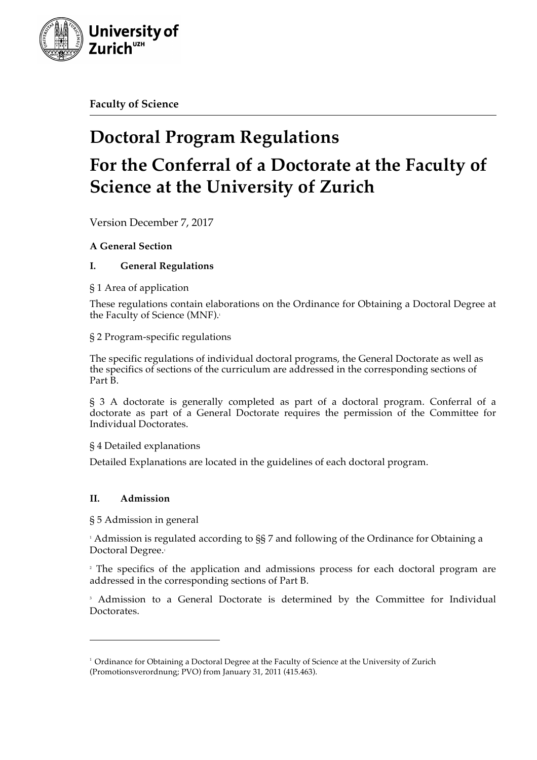

**Faculty of Science**

# **Doctoral Program Regulations For the Conferral of a Doctorate at the Faculty of Science at the University of Zurich**

Version December 7, 2017

# **A General Section**

# **I. General Regulations**

# § 1 Area of application

These regulations contain elaborations on the Ordinance for Obtaining a Doctoral Degree at the Faculty of Science (MNF).

# § 2 Program-specific regulations

The specific regulations of individual doctoral programs, the General Doctorate as well as the specifics of sections of the curriculum are addressed in the corresponding sections of Part B.

§ 3 A doctorate is generally completed as part of a doctoral program. Conferral of a doctorate as part of a General Doctorate requires the permission of the Committee for Individual Doctorates.

§ 4 Detailed explanations

Detailed Explanations are located in the guidelines of each doctoral program.

# **II. Admission**

§ 5 Admission in general

 

<sup>1</sup> Admission is regulated according to §§ 7 and following of the Ordinance for Obtaining a Doctoral Degree.<sup>1</sup>

<sup>2</sup> The specifics of the application and admissions process for each doctoral program are addressed in the corresponding sections of Part B.

<sup>3</sup> Admission to a General Doctorate is determined by the Committee for Individual Doctorates.

<sup>&</sup>lt;sup>1</sup> Ordinance for Obtaining a Doctoral Degree at the Faculty of Science at the University of Zurich (Promotionsverordnung; PVO) from January 31, 2011 (415.463).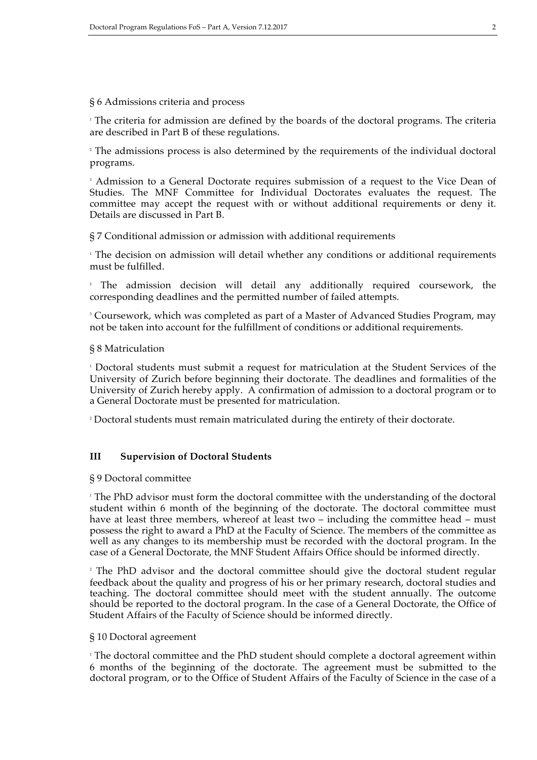#### § 6 Admissions criteria and process

<sup>1</sup> The criteria for admission are defined by the boards of the doctoral programs. The criteria are described in Part B of these regulations.

<sup>2</sup> The admissions process is also determined by the requirements of the individual doctoral programs.

<sup>3</sup> Admission to a General Doctorate requires submission of a request to the Vice Dean of Studies. The MNF Committee for Individual Doctorates evaluates the request. The committee may accept the request with or without additional requirements or deny it. Details are discussed in Part B.

§ 7 Conditional admission or admission with additional requirements

<sup>1</sup> The decision on admission will detail whether any conditions or additional requirements must be fulfilled.

<sup>2</sup> The admission decision will detail any additionally required coursework, the corresponding deadlines and the permitted number of failed attempts.

<sup>3</sup> Coursework, which was completed as part of a Master of Advanced Studies Program, may not be taken into account for the fulfillment of conditions or additional requirements.

#### § 8 Matriculation

<sup>1</sup> Doctoral students must submit a request for matriculation at the Student Services of the University of Zurich before beginning their doctorate. The deadlines and formalities of the University of Zurich hereby apply. A confirmation of admission to a doctoral program or to a General Doctorate must be presented for matriculation.

<sup>2</sup> Doctoral students must remain matriculated during the entirety of their doctorate.

## **III Supervision of Doctoral Students**

#### § 9 Doctoral committee

<sup>1</sup> The PhD advisor must form the doctoral committee with the understanding of the doctoral student within 6 month of the beginning of the doctorate. The doctoral committee must have at least three members, whereof at least two – including the committee head – must possess the right to award a PhD at the Faculty of Science. The members of the committee as well as any changes to its membership must be recorded with the doctoral program. In the case of a General Doctorate, the MNF Student Affairs Office should be informed directly.

<sup>2</sup> The PhD advisor and the doctoral committee should give the doctoral student regular feedback about the quality and progress of his or her primary research, doctoral studies and teaching. The doctoral committee should meet with the student annually. The outcome should be reported to the doctoral program. In the case of a General Doctorate, the Office of Student Affairs of the Faculty of Science should be informed directly.

#### § 10 Doctoral agreement

<sup>1</sup> The doctoral committee and the PhD student should complete a doctoral agreement within 6 months of the beginning of the doctorate. The agreement must be submitted to the doctoral program, or to the Office of Student Affairs of the Faculty of Science in the case of a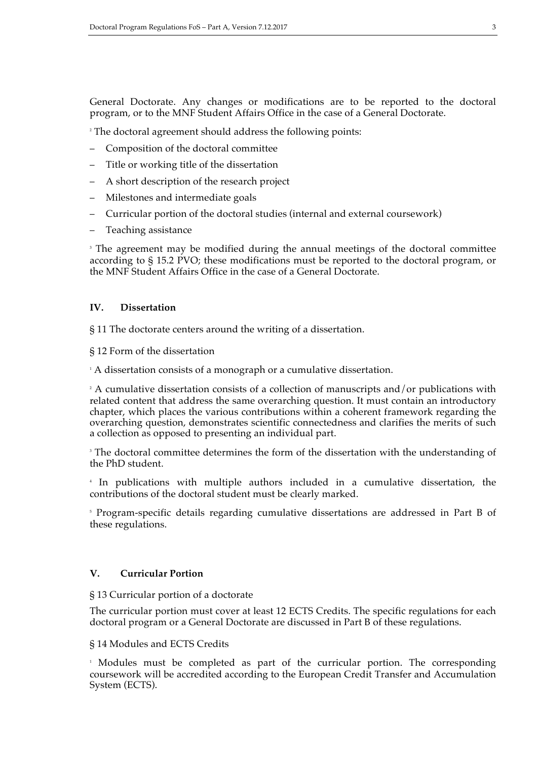General Doctorate. Any changes or modifications are to be reported to the doctoral program, or to the MNF Student Affairs Office in the case of a General Doctorate.

<sup>2</sup> The doctoral agreement should address the following points:

- Composition of the doctoral committee
- Title or working title of the dissertation
- A short description of the research project
- Milestones and intermediate goals
- Curricular portion of the doctoral studies (internal and external coursework)
- Teaching assistance

<sup>3</sup> The agreement may be modified during the annual meetings of the doctoral committee according to § 15.2 PVO; these modifications must be reported to the doctoral program, or the MNF Student Affairs Office in the case of a General Doctorate.

# **IV. Dissertation**

§ 11 The doctorate centers around the writing of a dissertation.

§ 12 Form of the dissertation

<sup>1</sup> A dissertation consists of a monograph or a cumulative dissertation.

 $2 A$  cumulative dissertation consists of a collection of manuscripts and/or publications with related content that address the same overarching question. It must contain an introductory chapter, which places the various contributions within a coherent framework regarding the overarching question, demonstrates scientific connectedness and clarifies the merits of such a collection as opposed to presenting an individual part.

<sup>3</sup> The doctoral committee determines the form of the dissertation with the understanding of the PhD student.

<sup>4</sup> In publications with multiple authors included in a cumulative dissertation, the contributions of the doctoral student must be clearly marked.

<sup>5</sup> Program-specific details regarding cumulative dissertations are addressed in Part B of these regulations.

## **V. Curricular Portion**

#### § 13 Curricular portion of a doctorate

The curricular portion must cover at least 12 ECTS Credits. The specific regulations for each doctoral program or a General Doctorate are discussed in Part B of these regulations.

#### § 14 Modules and ECTS Credits

<sup>1</sup> Modules must be completed as part of the curricular portion. The corresponding coursework will be accredited according to the European Credit Transfer and Accumulation System (ECTS).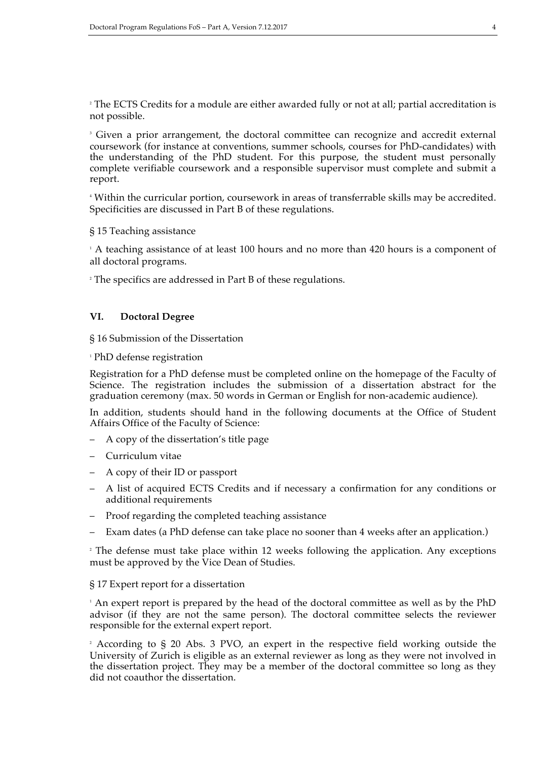<sup>2</sup> The ECTS Credits for a module are either awarded fully or not at all; partial accreditation is not possible.

<sup>3</sup> Given a prior arrangement, the doctoral committee can recognize and accredit external coursework (for instance at conventions, summer schools, courses for PhD-candidates) with the understanding of the PhD student. For this purpose, the student must personally complete verifiable coursework and a responsible supervisor must complete and submit a report.

<sup>4</sup> Within the curricular portion, coursework in areas of transferrable skills may be accredited. Specificities are discussed in Part B of these regulations.

§ 15 Teaching assistance

<sup>1</sup> A teaching assistance of at least 100 hours and no more than 420 hours is a component of all doctoral programs.

<sup>2</sup> The specifics are addressed in Part B of these regulations.

## **VI. Doctoral Degree**

§ 16 Submission of the Dissertation

<sup>1</sup> PhD defense registration

Registration for a PhD defense must be completed online on the homepage of the Faculty of Science. The registration includes the submission of a dissertation abstract for the graduation ceremony (max. 50 words in German or English for non-academic audience).

In addition, students should hand in the following documents at the Office of Student Affairs Office of the Faculty of Science:

- A copy of the dissertation's title page
- Curriculum vitae
- A copy of their ID or passport
- A list of acquired ECTS Credits and if necessary a confirmation for any conditions or additional requirements
- Proof regarding the completed teaching assistance
- Exam dates (a PhD defense can take place no sooner than 4 weeks after an application.)

<sup>2</sup> The defense must take place within 12 weeks following the application. Any exceptions must be approved by the Vice Dean of Studies.

#### § 17 Expert report for a dissertation

<sup>1</sup> An expert report is prepared by the head of the doctoral committee as well as by the PhD advisor (if they are not the same person). The doctoral committee selects the reviewer responsible for the external expert report.

<sup>2</sup> According to § 20 Abs. 3 PVO, an expert in the respective field working outside the University of Zurich is eligible as an external reviewer as long as they were not involved in the dissertation project. They may be a member of the doctoral committee so long as they did not coauthor the dissertation.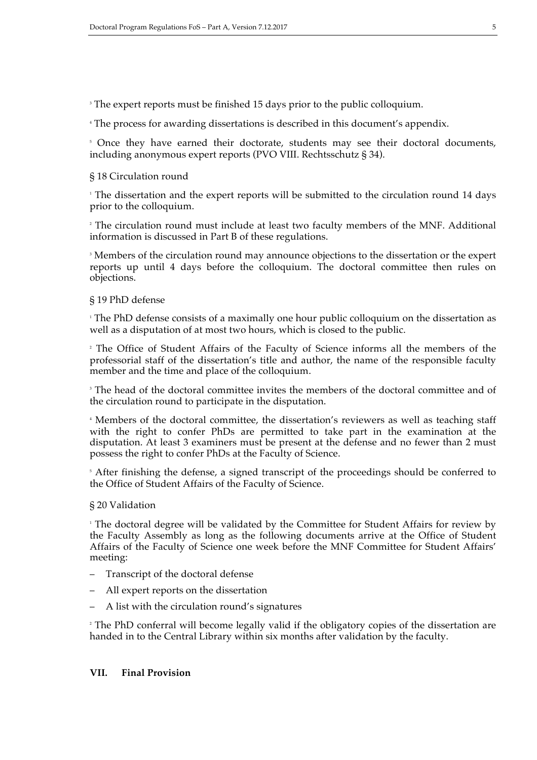<sup>3</sup> The expert reports must be finished 15 days prior to the public colloquium.

<sup>4</sup> The process for awarding dissertations is described in this document's appendix.

<sup>5</sup> Once they have earned their doctorate, students may see their doctoral documents, including anonymous expert reports (PVO VIII. Rechtsschutz § 34).

## § 18 Circulation round

<sup>1</sup> The dissertation and the expert reports will be submitted to the circulation round 14 days prior to the colloquium.

<sup>2</sup> The circulation round must include at least two faculty members of the MNF. Additional information is discussed in Part B of these regulations.

<sup>3</sup> Members of the circulation round may announce objections to the dissertation or the expert reports up until 4 days before the colloquium. The doctoral committee then rules on objections.

## § 19 PhD defense

<sup>1</sup> The PhD defense consists of a maximally one hour public colloquium on the dissertation as well as a disputation of at most two hours, which is closed to the public.

<sup>2</sup> The Office of Student Affairs of the Faculty of Science informs all the members of the professorial staff of the dissertation's title and author, the name of the responsible faculty member and the time and place of the colloquium.

<sup>3</sup> The head of the doctoral committee invites the members of the doctoral committee and of the circulation round to participate in the disputation.

<sup>4</sup> Members of the doctoral committee, the dissertation's reviewers as well as teaching staff with the right to confer PhDs are permitted to take part in the examination at the disputation. At least 3 examiners must be present at the defense and no fewer than 2 must possess the right to confer PhDs at the Faculty of Science.

<sup>5</sup> After finishing the defense, a signed transcript of the proceedings should be conferred to the Office of Student Affairs of the Faculty of Science.

#### § 20 Validation

<sup>1</sup> The doctoral degree will be validated by the Committee for Student Affairs for review by the Faculty Assembly as long as the following documents arrive at the Office of Student Affairs of the Faculty of Science one week before the MNF Committee for Student Affairs' meeting:

- Transcript of the doctoral defense
- All expert reports on the dissertation
- A list with the circulation round's signatures

<sup>2</sup> The PhD conferral will become legally valid if the obligatory copies of the dissertation are handed in to the Central Library within six months after validation by the faculty.

## **VII. Final Provision**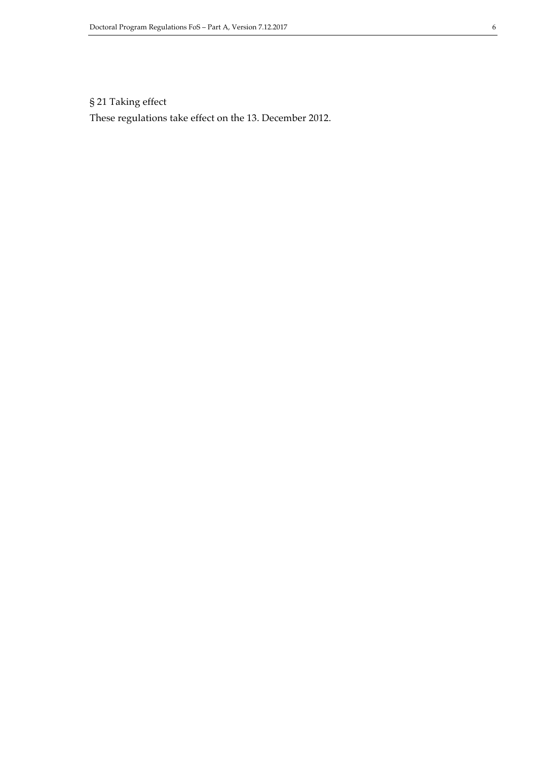# § 21 Taking effect

These regulations take effect on the 13. December 2012.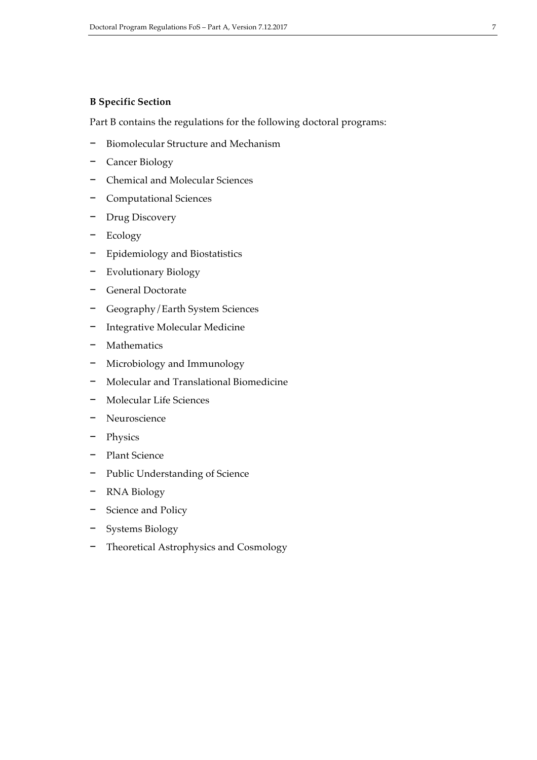# **B Specific Section**

Part B contains the regulations for the following doctoral programs:

- − Biomolecular Structure and Mechanism
- − Cancer Biology
- − Chemical and Molecular Sciences
- − Computational Sciences
- − Drug Discovery
- − Ecology
- − Epidemiology and Biostatistics
- − Evolutionary Biology
- − General Doctorate
- − Geography/Earth System Sciences
- − Integrative Molecular Medicine
- − Mathematics
- − Microbiology and Immunology
- − Molecular and Translational Biomedicine
- − Molecular Life Sciences
- − Neuroscience
- − Physics
- − Plant Science
- − Public Understanding of Science
- − RNA Biology
- − Science and Policy
- − Systems Biology
- − Theoretical Astrophysics and Cosmology